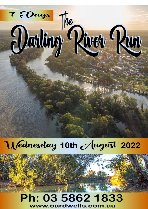

# Wednesday 10th August 2022

## Ph: 03 5862 1833 www.cardwells.com.au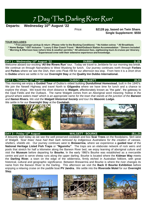## 7 Day 'The Darling River Run'

**Departs: Wednesday 10th August '22**

Price: **\$2128 pp, based on Twin Share. Single Supplement: \$550**

## **TOUR INCLUDES:**

**\* Free passenger pickup & return (Please refer to the Booking Conditions) \* No hidden extras \* All Breakfasts \* Name Badge \* GST Inclusive \* Luxury 5 Star Coach Travel \* Motel/Outback Station Accommodation \* Dinners Included \* Morning & Afternoon teas (where time & weather permits) \* All admission fees, sightseeing tours & cruises per itinerary \* Experienced crew with their extensive experience and knowledge.**

## **DAY 1 – Wednesday 10th August '22 DUBBO (L,D)**

Welcome aboard our exciting **'All the Rivers Run'** tour. Today we travel to Jerilderie for our morning tea break. We continue on through Narrandera to West Wyalong for lunch. Our journey continues north through **Forbes** and **Parkes** where we see the Dish, then onto Peak Hill for our afternoon tea stop. From here it is a short drive to **Dubbo** where we settle in for our **Overnight Stay** at the **Quality Inn Dubbo International.** 

## **DAY 2 – Thursday 11th August DUBBO – WALGETT (B,D)**

This morning we enjoy a **Guided Tour** of Dubbo's oldest building **Dundullimal Homestead**, built in the 1840's. We join the Newell Highway and travel North to **Gilgandra** where we have time for lunch and a chance to explore the shops. We travel the short distance to **Walgett**, affectionately known as "the gate", the gateway to the Opal Fields and the Outback. The name Walgett comes from an Aboriginal word meaning *'hollow in the ground where waters meet' which is an appropriate name for the town that stands at the junction of the Barwon and Namoi Rivers. We visit the Walgett Historical Society and tour the Masonic Lodge.* 

We settle in for our **Overnight Stay** at the **Coolabah***.*



## **DAY 3 – Friday 12th August WALGETT - BOURKE (B,L,D)**



A leisurely start today as we see the well preserved coolabah and box **Scar Trees** on the floodplains, 5km west of Walgett. *'Scar trees' have had their bark removed by indigenous Australians for the creation of canoes, shelters, shields etc.* Our journey continues west to **Brewarrina**, where we experience a **guided tour** of the **National Heritage Listed Fish Traps** or **"Ngunnhu"**. The traps are an elaborate network of rock weirs and pools that stretch for half a kilometre along the Barwon River bed, we enjoy learning of aboriginal culture and visit the **Museum** before departing for **Bourke.** In the early 1860's Bourke was established as a mercantile centre and port to serve sheep runs along the upper darling. Bourke is located where the **Kidman Way** meets the **Darling River**, a town on the edge of the wilderness, firmly etched in Australian folklore, with great historical, cultural and geographic significance. Between Brewarrina and Bourke is where the river changes its name from the Barwon River to the Darling. This afternoon we visit the **Back O Bourke Exhibition** before enjoying a relaxing cruise on the paddle boat **PV Jandra.** We settle into the **Riverside Motel** for our **Overnight Stay.** 





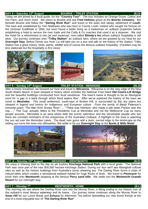#### **DAY 4 – Saturday 13th August BOURKE – TRILBY STATION (B,D)**

Today we are joined by a local guide, for the **"Country Tour"**. The tour includes an Orange Grove, Cotton and Gin Farm, and much more. We return to Bourke and see **Fred Hollows** grave at the **Bourke Cemetery.** We farewell Bourke and follow the **"Darling River Run"** and travel to the quiet and sleepy settlement of **Louth**. The town was established by Tom Matthews who was born in County Louth, Ireland who sought his fortune on the Victorian Goldfields in 1856, but soon found a better living as a tradesman on outback properties before establishing a hotel to service the river trade and the Cobb & Co coaches that used it as a stopover. We visit the Hotel for a refreshment or two *(at own expense)*, now called **Shindy's Inn** where outback hospitality is still alive. Our journey continues onto **"Trilby Station"** an outback farm, where we are greeted by our Host for our **Overnight Stay**. Before Dinner our Host, Liz will take you on a tour and talk on the history of the Station. Trilby Station has a great history, birds, plants, wildlife and of course the famous outback hospitality. (*Facilities may be less elaborate but the hospitality is first class)*



### **DAY 5 – Sunday 14th August TRILBY STATION - MENINDEE (BLD)**

After a hearty breakfast, we farewell our host and travel to **Wilcannia**. Wilcannia is on the very edge of the New South Wales desert. A town steeped in history which includes the National Trust listed **Old Centre-Lift Bridge** and the beautiful buildings constructed from local sandstone. The town's name is thought to be an Aboriginal word for *'a gap in a bank through which flood waters flow'. After we've explored the history of the town we travel to Menindee. This* small settlement, south-east of Broken Hill, is surrounded by flat, dry plains but *steeped in legend and history for Indigenous and European culture. From the words of Banjo Paterson's immortal poem "The Man from Snowy River"…..* "There was Harrison, who made a pile when Pardon won the cup….." The 'Cup' actually refers to the Presidents Cup at Menindee and not the Melbourne Cup as many people assume. Menindee is an area where both the scenic splendour and the remarkable people who live there are constant reminders of the uniqueness of the Australian Outback. A highlight to the area is watching the sun set over the Menindee Lakes. The dead river gums add a stark, surreal edge to the landscape as the setting sun turns the trees into silhouettes. We settle in for our **Overnight Stay** at the **Burke & Wills Motel**.



### **DAY 6 – Monday 15th August MENINDEE – WENTWORTH (B,D)**

We enjoy a relaxing start to the day as we explore **Kinchega National Park** with a local guide. The National Park was once part of the vast 800,000 hectare Kinchega Station. During our tour we'll see Aboriginal cultural sites as well as the historic buildings from Australia's iconic shearing era. The Darling River forms a chain of natural lakes which creates a sensational wetland habitat for huge flocks of birds. We travel to **Pooncarie** for lunch then onto **Wentworth** stopping at the famous **Perry sand hills**. We settle into the **Wentworth Grande Resort** for our overnight stay.

#### **DAY 7 – Monday 7 th**

## **WENTWORTH - HOME**

This morning we see where the Darling River runs into the Murray River, a fitting ending to our historic tour of the outback's most famous waterway and its towns. Our journey home continues along the Murray River to **Swan Hill** for our Lunch Break and **Echuca** for Afternoon Tea before farewelling our new found friends at the end of a most enjoyable tour of "**The Darling River Run"**.